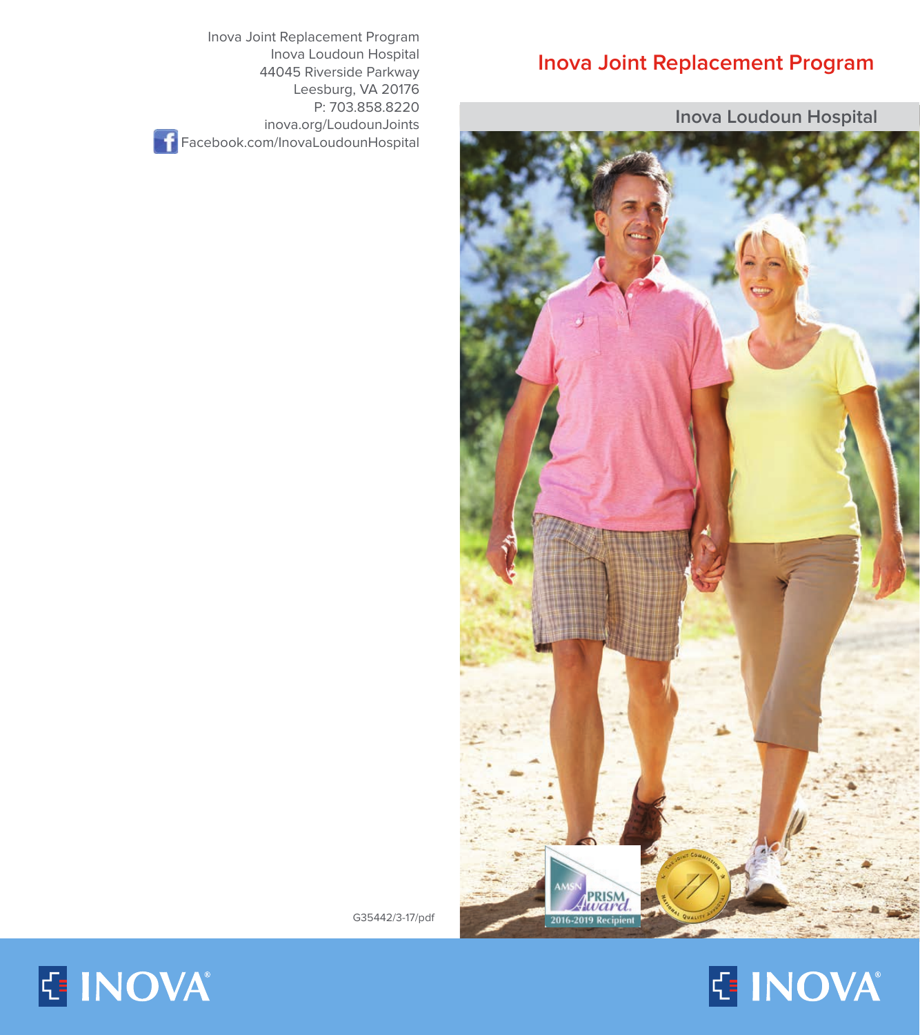## **Inova Joint Replacement Program**

**Inova Loudoun Hospital**



G35442/3-17/pdf

Inova Joint Replacement Program

**Facebook.com/InovaLoudounHospital** 

Inova Loudoun Hospital 44045 Riverside Parkway Leesburg, VA 20176 P: 703.858.8220 inova.org/LoudounJoints